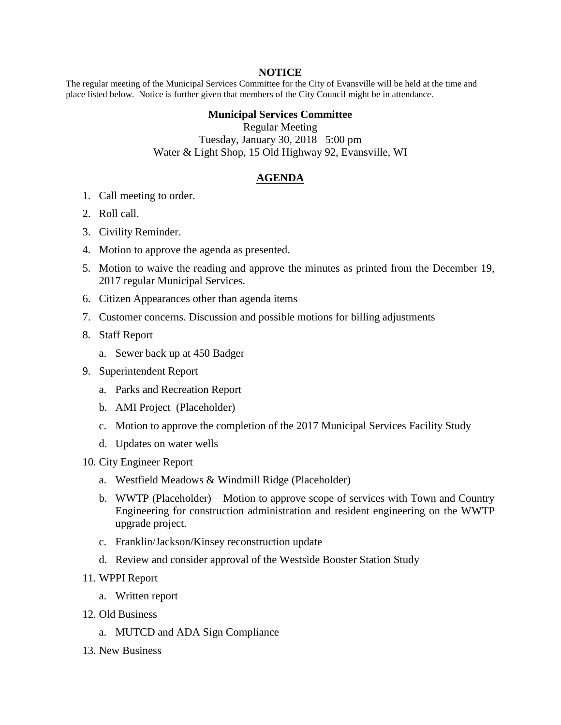## **NOTICE**

The regular meeting of the Municipal Services Committee for the City of Evansville will be held at the time and place listed below. Notice is further given that members of the City Council might be in attendance.

## **Municipal Services Committee**

Regular Meeting Tuesday, January 30, 2018 5:00 pm Water & Light Shop, 15 Old Highway 92, Evansville, WI

## **AGENDA**

- 1. Call meeting to order.
- 2. Roll call.
- 3. Civility Reminder.
- 4. Motion to approve the agenda as presented.
- 5. Motion to waive the reading and approve the minutes as printed from the December 19, 2017 regular Municipal Services.
- 6. Citizen Appearances other than agenda items
- 7. Customer concerns. Discussion and possible motions for billing adjustments
- 8. Staff Report
	- a. Sewer back up at 450 Badger
- 9. Superintendent Report
	- a. Parks and Recreation Report
	- b. AMI Project (Placeholder)
	- c. Motion to approve the completion of the 2017 Municipal Services Facility Study
	- d. Updates on water wells
- 10. City Engineer Report
	- a. Westfield Meadows & Windmill Ridge (Placeholder)
	- b. WWTP (Placeholder) Motion to approve scope of services with Town and Country Engineering for construction administration and resident engineering on the WWTP upgrade project.
	- c. Franklin/Jackson/Kinsey reconstruction update
	- d. Review and consider approval of the Westside Booster Station Study
- 11. WPPI Report
	- a. Written report
- 12. Old Business
	- a. MUTCD and ADA Sign Compliance
- 13. New Business